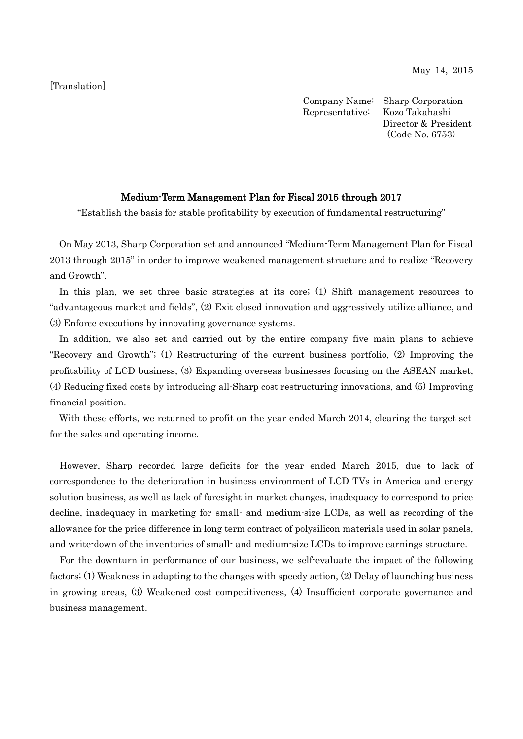[Translation]

Company Name: Sharp Corporation Representative: Kozo Takahashi Director & President (Code No. 6753)

# Medium-Term Management Plan for Fiscal 2015 through 2017

"Establish the basis for stable profitability by execution of fundamental restructuring"

On May 2013, Sharp Corporation set and announced "Medium-Term Management Plan for Fiscal 2013 through 2015" in order to improve weakened management structure and to realize "Recovery and Growth".

In this plan, we set three basic strategies at its core; (1) Shift management resources to "advantageous market and fields", (2) Exit closed innovation and aggressively utilize alliance, and (3) Enforce executions by innovating governance systems.

In addition, we also set and carried out by the entire company five main plans to achieve "Recovery and Growth"; (1) Restructuring of the current business portfolio, (2) Improving the profitability of LCD business, (3) Expanding overseas businesses focusing on the ASEAN market, (4) Reducing fixed costs by introducing all-Sharp cost restructuring innovations, and (5) Improving financial position.

With these efforts, we returned to profit on the year ended March 2014, clearing the target set for the sales and operating income.

However, Sharp recorded large deficits for the year ended March 2015, due to lack of correspondence to the deterioration in business environment of LCD TVs in America and energy solution business, as well as lack of foresight in market changes, inadequacy to correspond to price decline, inadequacy in marketing for small- and medium-size LCDs, as well as recording of the allowance for the price difference in long term contract of polysilicon materials used in solar panels, and write-down of the inventories of small- and medium-size LCDs to improve earnings structure.

For the downturn in performance of our business, we self-evaluate the impact of the following factors; (1) Weakness in adapting to the changes with speedy action, (2) Delay of launching business in growing areas, (3) Weakened cost competitiveness, (4) Insufficient corporate governance and business management.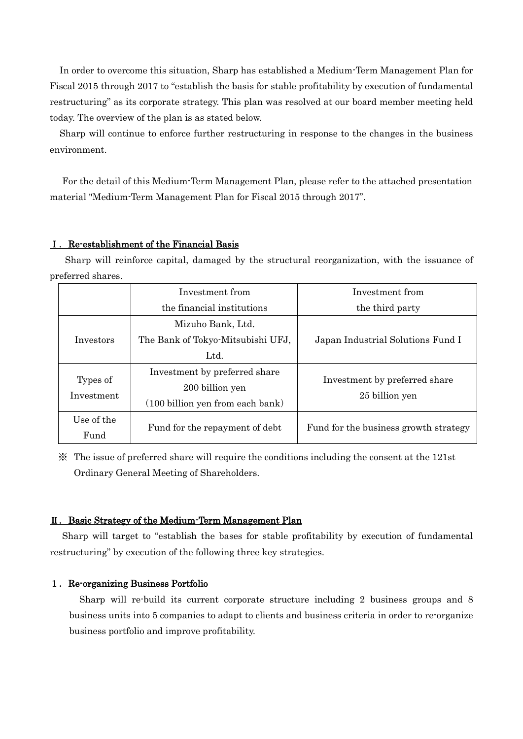In order to overcome this situation, Sharp has established a Medium-Term Management Plan for Fiscal 2015 through 2017 to "establish the basis for stable profitability by execution of fundamental restructuring" as its corporate strategy. This plan was resolved at our board member meeting held today. The overview of the plan is as stated below.

Sharp will continue to enforce further restructuring in response to the changes in the business environment.

For the detail of this Medium-Term Management Plan, please refer to the attached presentation material "Medium-Term Management Plan for Fiscal 2015 through 2017".

## Ⅰ.Re-establishment of the Financial Basis

Sharp will reinforce capital, damaged by the structural reorganization, with the issuance of preferred shares.

|                        | Investment from                                            | Investment from                                 |  |
|------------------------|------------------------------------------------------------|-------------------------------------------------|--|
|                        | the financial institutions                                 | the third party                                 |  |
| Investors              | Mizuho Bank, Ltd.                                          | Japan Industrial Solutions Fund I               |  |
|                        | The Bank of Tokyo-Mitsubishi UFJ,                          |                                                 |  |
|                        | Ltd.                                                       |                                                 |  |
| Types of<br>Investment | Investment by preferred share                              | Investment by preferred share<br>25 billion yen |  |
|                        | 200 billion yen                                            |                                                 |  |
|                        | $(100 \text{ billion} \text{ yen} \text{ from each bank})$ |                                                 |  |
| Use of the             |                                                            | Fund for the business growth strategy           |  |
| Fund                   | Fund for the repayment of debt                             |                                                 |  |

※ The issue of preferred share will require the conditions including the consent at the 121st Ordinary General Meeting of Shareholders.

### Ⅱ.Basic Strategy of the Medium-Term Management Plan

Sharp will target to "establish the bases for stable profitability by execution of fundamental restructuring" by execution of the following three key strategies.

#### 1.Re-organizing Business Portfolio

Sharp will re-build its current corporate structure including 2 business groups and 8 business units into 5 companies to adapt to clients and business criteria in order to re-organize business portfolio and improve profitability.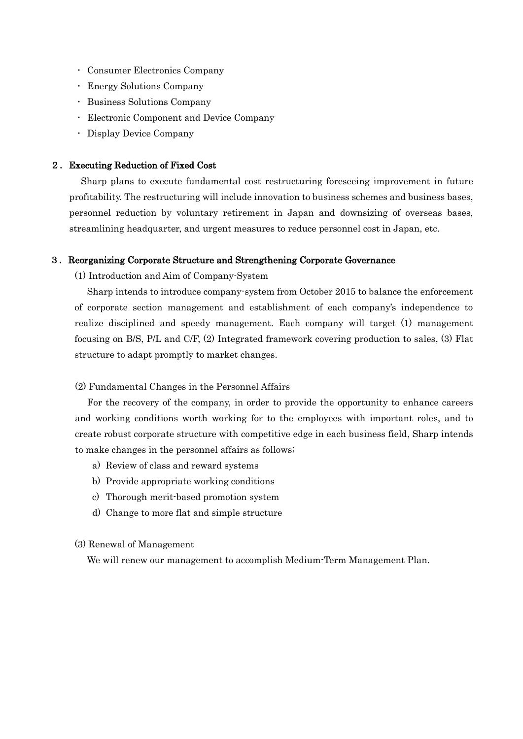- Consumer Electronics Company
- Energy Solutions Company
- Business Solutions Company
- Electronic Component and Device Company
- Display Device Company

#### 2.Executing Reduction of Fixed Cost

Sharp plans to execute fundamental cost restructuring foreseeing improvement in future profitability. The restructuring will include innovation to business schemes and business bases, personnel reduction by voluntary retirement in Japan and downsizing of overseas bases, streamlining headquarter, and urgent measures to reduce personnel cost in Japan, etc.

#### 3.Reorganizing Corporate Structure and Strengthening Corporate Governance

(1) Introduction and Aim of Company-System

Sharp intends to introduce company-system from October 2015 to balance the enforcement of corporate section management and establishment of each company's independence to realize disciplined and speedy management. Each company will target (1) management focusing on B/S, P/L and C/F, (2) Integrated framework covering production to sales, (3) Flat structure to adapt promptly to market changes.

#### (2) Fundamental Changes in the Personnel Affairs

For the recovery of the company, in order to provide the opportunity to enhance careers and working conditions worth working for to the employees with important roles, and to create robust corporate structure with competitive edge in each business field, Sharp intends to make changes in the personnel affairs as follows;

- a) Review of class and reward systems
- b) Provide appropriate working conditions
- c) Thorough merit-based promotion system
- d) Change to more flat and simple structure

#### (3) Renewal of Management

We will renew our management to accomplish Medium-Term Management Plan.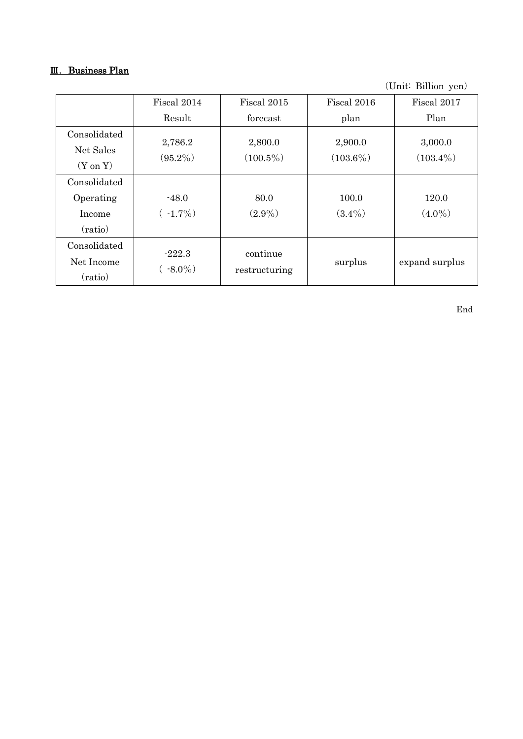# Ⅲ.Business Plan

(Unit: Billion yen)

|                                                  | Fiscal 2014            | Fiscal 2015               | Fiscal 2016            | Fiscal 2017            |
|--------------------------------------------------|------------------------|---------------------------|------------------------|------------------------|
|                                                  | Result                 | forecast                  | plan                   | Plan                   |
| Consolidated<br>Net Sales<br>$(Y \text{ on } Y)$ | 2,786.2<br>$(95.2\%)$  | 2,800.0<br>$(100.5\%)$    | 2,900.0<br>$(103.6\%)$ | 3,000.0<br>$(103.4\%)$ |
| Consolidated<br>Operating<br>Income<br>(ratio)   | $-48.0$<br>$(-1.7\%)$  | 80.0<br>$(2.9\%)$         | 100.0<br>$(3.4\%)$     | 120.0<br>$(4.0\%)$     |
| Consolidated<br>Net Income<br>(ratio)            | $-222.3$<br>$(*8.0\%)$ | continue<br>restructuring | surplus                | expand surplus         |

End